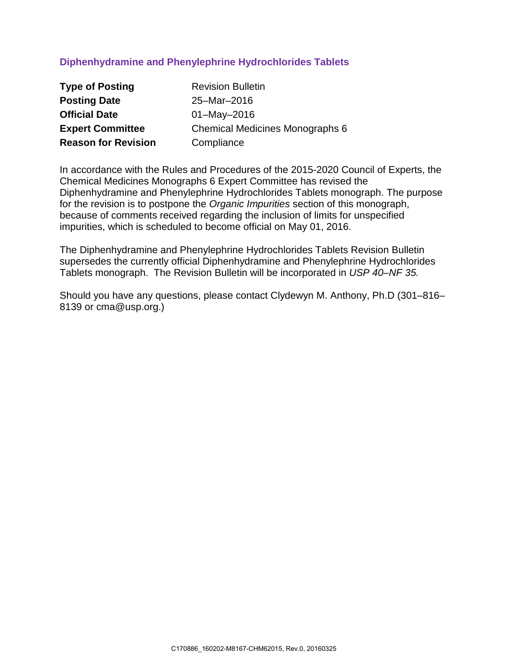# **Diphenhydramine and Phenylephrine Hydrochlorides Tablets**

| <b>Type of Posting</b>     | <b>Revision Bulletin</b>               |
|----------------------------|----------------------------------------|
| <b>Posting Date</b>        | 25-Mar-2016                            |
| <b>Official Date</b>       | $01 - May - 2016$                      |
| <b>Expert Committee</b>    | <b>Chemical Medicines Monographs 6</b> |
| <b>Reason for Revision</b> | Compliance                             |

In accordance with the Rules and Procedures of the 2015-2020 Council of Experts, the Chemical Medicines Monographs 6 Expert Committee has revised the Diphenhydramine and Phenylephrine Hydrochlorides Tablets monograph. The purpose for the revision is to postpone the *Organic Impurities* section of this monograph, because of comments received regarding the inclusion of limits for unspecified impurities, which is scheduled to become official on May 01, 2016.

The Diphenhydramine and Phenylephrine Hydrochlorides Tablets Revision Bulletin supersedes the currently official Diphenhydramine and Phenylephrine Hydrochlorides Tablets monograph. The Revision Bulletin will be incorporated in *USP 40–NF 35.*

Should you have any questions, please contact Clydewyn M. Anthony, Ph.D (301–816– 8139 or cma@usp.org.)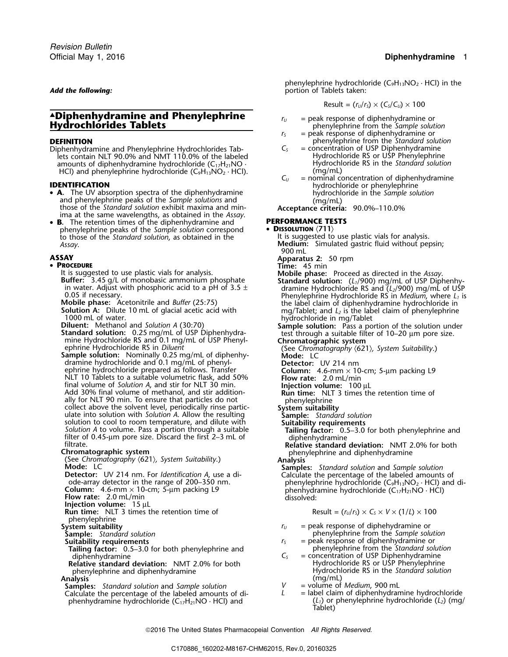## ▲**.Diphenhydramine and Phenylephrine** *<sup>r</sup><sup>U</sup>* = peak response of diphenhydramine or **Hydrochlorides Tablets Hydrochlorides Tablets Hydrochlorides Tablets hydrochlorides Tablets here henylephrine** from the *Sample solution*

Diphenhydramine and Phenylephrine Hydrochlorides Tab-<br>lets contain NLT 90.0% and NMT 110.0% of the labeled<br>Hydrochloride RS or USP Phenylephrine lets contain NLT 90.0% and NMT 110.0% of the labeled  $\blacksquare$  Hydrochloride RS or USP Phenylephrine<br>amounts of diphenhydramine hydrochloride (C<sub>17</sub>H<sub>21</sub>NO · The Hydrochloride RS in the Standard solution amounts of diphenhydramine hydrochloride (C<sub>17</sub>H<sub>21</sub>NO · The *Standard Solutional Solution* Hydrochloride RS in the *Standard Solution* (mg/mL)

- A. The UV absorption spectra of the diphenhydramine **A.** The UV absorption spectra of the diphenhydramine and phenylephrine peaks of the *Sample solution*<br>and phenylephrine peaks of the *Sample solutions* and<br>those of the *Standard solution* exhibit maxima and min-<br>**Accepta** ima at the same wavelengths, as obtained in the *Assay*.
- B. **B.** The retention times of the diphenhydramine and **PERFORMANCE TESTS** phenylephrine peaks of the *Sample solution* correspond • **DISSOLUTION**  $\langle 711 \rangle$ <br>to those of the *Standard solution*, as obtained in the lt is suggested to use plastic vials for analysis. to those of the *Standard solution*, as obtained in the *Assay*. **Medium:** Simulated gastric fluid without pepsin;

## •

- **PROCEDURE**<br>It is suggested to use plastic vials for analysis. **Time:** 45 min
- 
- 
- 
- Mobile phase: Acetonitrile and *Butter* (25:75) the label claim of diphenhydramine hydrochloride in 500 mL. of glacial acetic acid with<br>
1000 mL. of glacial acetic acid with<br>
1000 mL. of water.<br>
1000 mL. of water and Solu
- Sample solution: Nominally 0.25 mg/mL of diphenhy-<br>
dramine hydrochloride and 0.1 mg/mL of phenyl-<br> **Detector:** UV 214 nm dramine hydrochloride and 0.1 mg/mL of phenyl-<br>ephrine hydrochloride prepared as follows. Transfer **Column:** 4.6-mm × 10-cm; 5-µm packing L9 NLT 10 Tablets to a suitable volumetric flask, add 50% **Flow rate:** 2.0 mL/min<br>final volume of *Solution A*, and stir for NLT 30 min. **Injection volume:** 100 µL<br>Add 30% final volume of methanol, and stir addition-<br>**Run tim** final volume of *Solution A*, and stir for NLT 30 min. **Injection volume:**<sup>100</sup> <sup>µ</sup><sup>L</sup> Add 30% final volume of methanol, and stir addition- **Run time:** NLT 3 times the retention time of ally for NLT 90 min. To ensure that particles do not phenylephrine collect above the solvent level, periodically rinse partic-<br>ulate into solution with *Solution A*. Allow the resulting **System suitability**<br>solution to coo Solution A to volume. Pass a portion through a suitable **Tailing factor:** 0.5–3.0 for both phenylephrine and filter of 0.45-µm pore size. Discard the first 2–3 mL of diphenhydramine filtrate.<br>Filtrate. **Relative standard d**
- 

- 
- 

- **Injection volume:** 15 µL
- **Run time:** NLT 3 times the retention time of

phenylephrine<br>System suitability

- 
- 
- **Tailing factor:** 0.5–3.0 for both phenylephrine and diphenhydramine **from the** *S*  $C_s$
- **Relative standard deviation:** NMT 2.0% for both phenylephrine and diphenhydramine
- **Analysis** (mg/mL)
- **Samples:** *Standard solution* and *Sample solution*  $V = \text{volume of Medium, 900 mL}$ <br>Calculate the percentage of the labeled amounts of di-<br> $L =$  label claim of diphenhydramine hydrochloride Calculate the percentage of the labeled amounts of di-<br>phenhydramine hydrochloride (C<sub>17</sub>H<sub>21</sub>NO · HCl) and (L<sub>1</sub>) or phenylephrine hydrochloride (L<sub>2</sub>) (mg/ phenhydramine hydrochloride (C<sub>17</sub>H<sub>21</sub>NO · HCl) and (*L<sub>1</sub>*) or Tablet)

phenylephrine hydrochloride  $(C_9H_{13}NO_2 \cdot HCl)$  in the **Add the following: and the following: portion of Tablets taken:** 

$$
Result = (r_U/r_S) \times (C_S/C_U) \times 100
$$

- 
- $r<sub>S</sub>$  = peak response of diphenhydramine or
- **DEFINITION**<br>Diphenhydramine and Phenylephrine Hydrochlorides Tab-<br> $C_s$  = concentration of USP Diphenhydramine
	-
- HCl) and phenylephrine hydrochloride (C<sub>9</sub>H<sub>13</sub>NO<sub>2</sub> · HCl). *C<sub>U</sub>* = nominal concentration of diphenhydramine **IDENTIFICATION IDENTIFICATION IDENTIFICATION**

- 900 mL
- **ASSAY Apparatus 2:** 50 rpm

14 It is suggested to use plastic vials for analysis.<br> **Suffer:** 3.45 g/L of monobasic ammonium phosphate<br>
in water. Adjust with phosphoric acid to a pH of 3.5  $\pm$ <br>
0.05 if necessary.<br>
Mobile phase: Acetonitrile and *Buf* 

- 
- 

- 
- 
- 
- 
- 
- 
- 

**Chromatographic system**<br>
(See *Chromatography* (621), *System Suitability*.)<br> **Analysis**<br> **Analysis**<br> **Analysis**<br> **Analysis**<br> **Analysis**<br> **Analysis**<br> **Analysis**<br> **Analysis**<br> **Analysis**<br> **Analysis**<br> **Analysis**<br> **Analysis** 

Result = 
$$
(r_v/r_s) \times C_s \times V \times (1/L) \times 100
$$

- **System suitability**<br> **Sumple:** Standard solution<br> **Suitability requirements**<br> **Suitability requirements**<br> **Suitability requirements**<br> **Suitability requirements**<br> **Suitability requirements** 
	- **Sample:** phenylephrine from the *Sample solution*  $r_5$  = peak response of diphenhydramine or **Suitability requirements** *<sup>r</sup><sup>S</sup>* = peak response of diphenhydramine or
- phenylephrine from the *Standard solution*<br>= concentration of USP Diphenhydramine<br>Hydrochloride RS or USP Phenylephrine phenylephrine and diphenhydramine **Hydrochloride RS** in the *Standard solution*<br>(mg/mL)
	-
	-

2016 The United States Pharmacopeial Convention *All Rights Reserved.*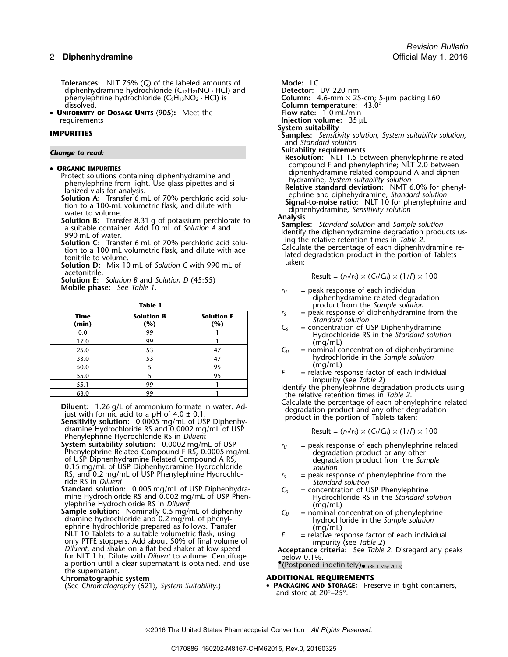**Tolerances:** NLT 75% (Q) of the labeled amounts of **Mode:** LC diphenhydramine hydrochloride (C<sub>17</sub>H<sub>21</sub>NO · HCl) and **Detector:** UV 220 nm diphenhydramine hydrochloride (C<sub>17</sub>H<sub>21</sub>NO · HCl) and **Detector:** UV 220 nm<br>phenylephrine hydrochloride (C<sub>9</sub>H<sub>13</sub>NO<sub>2</sub> · HCl) is **Column:** 4.6-mm × 25-cm; 5-µm packing L60 phenylephrine hydrochloride (C<sub>9</sub>H<sub>13</sub>NO<sub>2</sub> · HCl) is dissolved.

•**UNIFORMITY OF DOSAGE UNITS**  $\langle 905 \rangle$ **:** Meet the requirements

- 
- 
- 
- 

acetonitrile.<br>**Solution E:** Solution B and Solution D (45:55)<br>**Mobile phase:** See *Table 1*.

| ۰.<br>M.<br>۰. |
|----------------|
|----------------|

| $=$ peak respo<br>Standard<br>$=$ concentration | $r_{\rm S}$<br>$C_{S}$ | <b>Solution E</b><br>(%) | <b>Solution B</b><br>(%) | Time<br>(min) |
|-------------------------------------------------|------------------------|--------------------------|--------------------------|---------------|
| Hydroch                                         |                        |                          | 99                       | 0.0           |
| (mg/mL)                                         |                        |                          | 99                       | 17.0          |
| $=$ nominal $\alpha$                            | $C_{U}$                | 47                       | 53                       | 25.0          |
| hydrochl                                        |                        | 47                       | 53                       | 33.0          |
| (mg/mL)                                         |                        | 95                       |                          | 50.0          |
| $=$ relative rest                               |                        | 95                       |                          | 55.0          |
| impurity<br>Identify the pheny                  |                        |                          | 99                       | 55.1          |
| the relative reten                              |                        |                          | 99                       | 63.0          |

dramine Hydrochloride RS and 0.0002 mg/mL of USP<br>Phenylephrine Hydrochloride RS in *Diluent*<br>System suitability solution: 0.0002 mg/mL of USP

System suitability solution:  $0.0002 \text{ mg/mL}$  of USP<br>
Phenylephrine Related Compound F RS,  $0.0005 \text{ mg/mL}$  are peak response of each phenylephrine related<br>
of USP Diphenhydramine Related Compound A RS,<br>  $0.15 \text{ mg/mL}$  of USP D RS, and 0.2 mg/mL of USP Phenylephrine Hydrochlo-<br>
ride RS in *Diluent* the ride RS in *Diluent* **6.0005** mg/mL of USP Diphenhydra-<br> **Standard solution:** 0.005 mg/mL of USP Diphenhydra-<br>  $C_5$  = concentration of USP Phenv

**Standard solution:** 0.005 mg/mL of USP Diphenhydra-<br>
mine Hydrochloride RS and 0.002 mg/mL of USP Phen-<br>
ylephrine Hydrochloride RS in *Diluent* (mg/mL) (mg/mL)

ylephrine Hydrochloride RS in Diluent<br>
Sample solution: Nominally 0.5 mg/mL of diphenhy-<br>
dramine hydrochloride and 0.2 mg/mL of phenyl-<br>
ephrine Hydrochloride and 0.2 mg/mL of phenyl-<br>
ephrine hydrochloride and 0.2 mg/mL NLT 10 Tablets to a suitable volumetric flask, using  $F =$  relative response factor of each individual<br>
only PTFE stoppers. Add about 50% of final volume of<br>
Diluent, and shake on a flat bed shaker at low speed<br>
for NLT 1 a portion until a clear supernatant is obtained, and use the supernatant.

**Chromatographic system**<br>
(See Chromatography (621), System Suitability.) **ADDITIONAL REQUIREMENTS**<br>
• **PACKAGING AND STORAGE:** Pre

**Column temperature:** 43.0°<br>**Flow rate:** 1.0 mL/min **Injection volume:** 35 µL **System suitability IMPURITIES Samples:** *Sensitivity solution*, *System suitability solution*, and *Standard solution* **Suitability requirements** *Change to read:* **Resolution:** NLT 1.5 between phenylephrine related compound F and phenylephrine; NLT 2.0 between •• **ORGANIC IMPURITIES**<br>
Protect solution scontaining diphenhydramine and<br>
phenhydramine related compound A and diphenhydramine related compound A and diphen-<br>
phenylephrine from light. Use glass pipettes and si-<br>
phenhydra

- 
- 

$$
Result = (r_U/r_S) \times (C_S/C_U) \times (1/P) \times 100
$$

- $r_U$  = peak response of each individual diphenhydramine related degradation product from the *Sample solution*<br>= peak response of diphenhydramine from the
- $r_S$  = peak response of diphenhydramine from th<br>
Standard solution<br>  $C_S$  = concentration of USP Diphenhydramine<br>
Hydrochloride RS in the Standard solution
- 
- $C_U$  = nominal concentration of diphenhydramine 33.0 <sup>53</sup> <sup>47</sup> hydrochloride in the *Sample solution*  $F = \text{relative}$  relative res
- 

*F* = relative response factor of each individual<br>impurity (see *Table 2*)<br>Identify the phenylephrine degradation products using<br>the relative retention times in *Table 2*.

**Diluent:** 1.26 g/L of ammonium formate in water. Ad-<br>
just with formic acid to a pH of  $4.0 \pm 0.1$ .<br> **Sensitivity solution:** 0.0005 mg/mL of USP Diphenhy-<br> **Sensitivity solution:** 0.0005 mg/mL of USP Diphenhy-<br> **Sensitiv** 

$$
Result = (r_U/r_S) \times (C_S/C_U) \times (1/F) \times 100
$$

- 
- 
- 
- 
- 

 $\bullet$  (Postponed indefinitely) $\bullet$  (RB 1-May-2016)

(See *Chromatography* 〈621〉*, System Suitability*.) • **<sup>P</sup>ACKAGING AND STORAGE:** Preserve in tight containers, and store at 20°–25°.

2016 The United States Pharmacopeial Convention *All Rights Reserved.*